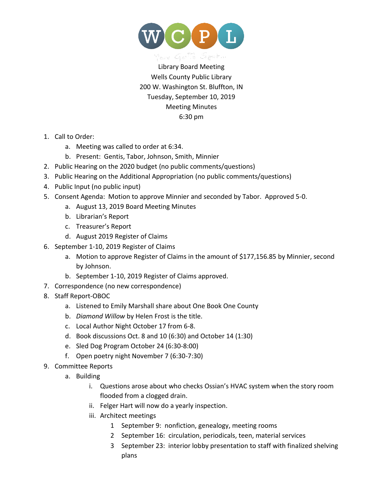

Library Board Meeting Wells County Public Library 200 W. Washington St. Bluffton, IN Tuesday, September 10, 2019 Meeting Minutes 6:30 pm

- 1. Call to Order:
	- a. Meeting was called to order at 6:34.
	- b. Present: Gentis, Tabor, Johnson, Smith, Minnier
- 2. Public Hearing on the 2020 budget (no public comments/questions)
- 3. Public Hearing on the Additional Appropriation (no public comments/questions)
- 4. Public Input (no public input)
- 5. Consent Agenda: Motion to approve Minnier and seconded by Tabor. Approved 5-0.
	- a. August 13, 2019 Board Meeting Minutes
	- b. Librarian's Report
	- c. Treasurer's Report
	- d. August 2019 Register of Claims
- 6. September 1-10, 2019 Register of Claims
	- a. Motion to approve Register of Claims in the amount of \$177,156.85 by Minnier, second by Johnson.
	- b. September 1-10, 2019 Register of Claims approved.
- 7. Correspondence (no new correspondence)
- 8. Staff Report-OBOC
	- a. Listened to Emily Marshall share about One Book One County
	- b. *Diamond Willow* by Helen Frost is the title.
	- c. Local Author Night October 17 from 6-8.
	- d. Book discussions Oct. 8 and 10 (6:30) and October 14 (1:30)
	- e. Sled Dog Program October 24 (6:30-8:00)
	- f. Open poetry night November 7 (6:30-7:30)
- 9. Committee Reports
	- a. Building
		- i. Questions arose about who checks Ossian's HVAC system when the story room flooded from a clogged drain.
		- ii. Felger Hart will now do a yearly inspection.
		- iii. Architect meetings
			- 1 September 9: nonfiction, genealogy, meeting rooms
			- 2 September 16: circulation, periodicals, teen, material services
			- 3 September 23: interior lobby presentation to staff with finalized shelving plans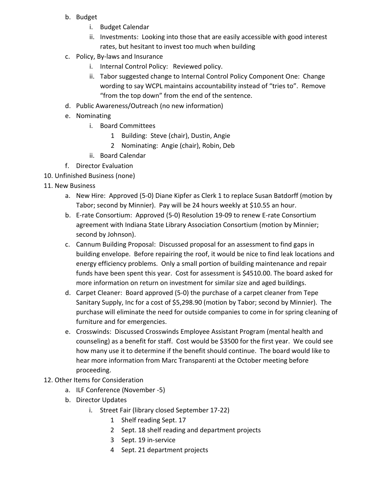- b. Budget
	- i. Budget Calendar
	- ii. Investments: Looking into those that are easily accessible with good interest rates, but hesitant to invest too much when building
- c. Policy, By-laws and Insurance
	- i. Internal Control Policy: Reviewed policy.
	- ii. Tabor suggested change to Internal Control Policy Component One: Change wording to say WCPL maintains accountability instead of "tries to". Remove "from the top down" from the end of the sentence.
- d. Public Awareness/Outreach (no new information)
- e. Nominating
	- i. Board Committees
		- 1 Building: Steve (chair), Dustin, Angie
		- 2 Nominating: Angie (chair), Robin, Deb
	- ii. Board Calendar
- f. Director Evaluation
- 10. Unfinished Business (none)
- 11. New Business
	- a. New Hire: Approved (5-0) Diane Kipfer as Clerk 1 to replace Susan Batdorff (motion by Tabor; second by Minnier). Pay will be 24 hours weekly at \$10.55 an hour.
	- b. E-rate Consortium: Approved (5-0) Resolution 19-09 to renew E-rate Consortium agreement with Indiana State Library Association Consortium (motion by Minnier; second by Johnson).
	- c. Cannum Building Proposal: Discussed proposal for an assessment to find gaps in building envelope. Before repairing the roof, it would be nice to find leak locations and energy efficiency problems. Only a small portion of building maintenance and repair funds have been spent this year. Cost for assessment is \$4510.00. The board asked for more information on return on investment for similar size and aged buildings.
	- d. Carpet Cleaner: Board approved (5-0) the purchase of a carpet cleaner from Tepe Sanitary Supply, Inc for a cost of \$5,298.90 (motion by Tabor; second by Minnier). The purchase will eliminate the need for outside companies to come in for spring cleaning of furniture and for emergencies.
	- e. Crosswinds: Discussed Crosswinds Employee Assistant Program (mental health and counseling) as a benefit for staff. Cost would be \$3500 for the first year. We could see how many use it to determine if the benefit should continue. The board would like to hear more information from Marc Transparenti at the October meeting before proceeding.
- 12. Other Items for Consideration
	- a. ILF Conference (November -5)
	- b. Director Updates
		- i. Street Fair (library closed September 17-22)
			- 1 Shelf reading Sept. 17
			- 2 Sept. 18 shelf reading and department projects
			- 3 Sept. 19 in-service
			- 4 Sept. 21 department projects